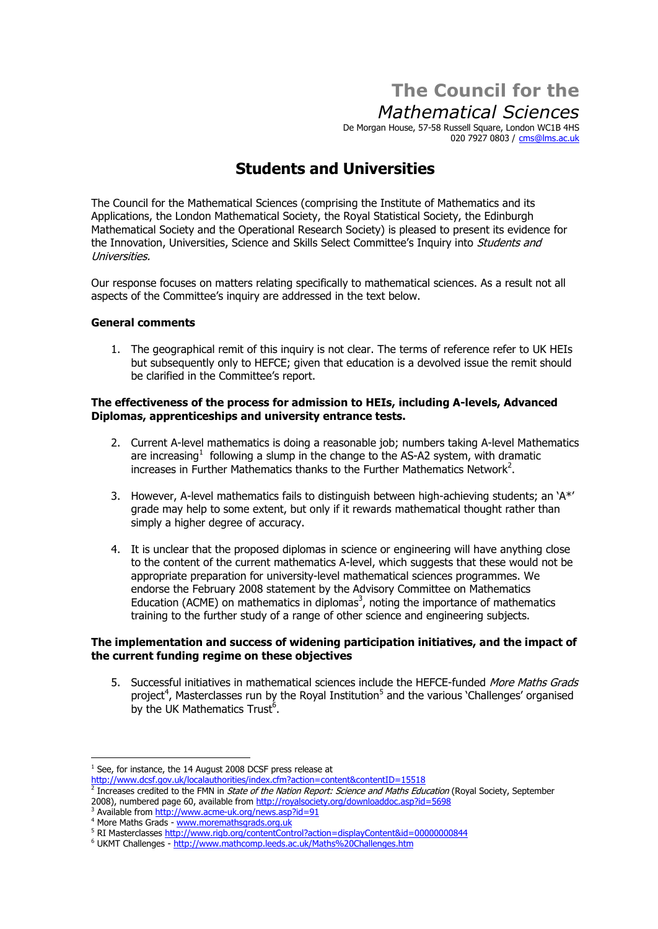# **The Council for the Mathematical Sciences**

De Morgan House, 57-58 Russell Square, London WC1B 4HS 020 7927 0803 / [cms@lms.ac.uk](mailto:cms@lms.ac.uk)

# **Students and Universities**

The Council for the Mathematical Sciences (comprising the Institute of Mathematics and its Applications, the London Mathematical Society, the Royal Statistical Society, the Edinburgh Mathematical Society and the Operational Research Society) is pleased to present its evidence for the Innovation, Universities, Science and Skills Select Committee's Inquiry into *Students and* Universities.

Our response focuses on matters relating specifically to mathematical sciences. As a result not all aspects of the Committeeís inquiry are addressed in the text below.

# **General comments**

1. The geographical remit of this inquiry is not clear. The terms of reference refer to UK HEIs but subsequently only to HEFCE; given that education is a devolved issue the remit should be clarified in the Committeeís report.

### **The effectiveness of the process for admission to HEIs, including A-levels, Advanced Diplomas, apprenticeships and university entrance tests.**

- 2. Current A-level mathematics is doing a reasonable job; numbers taking A-level Mathematics are increasing 1 following a slump in the change to the AS-A2 system, with dramatic Increases in Further Mathematics thanks to the Further Mathematics Network<sup>2</sup>.
- 3. However, A-level mathematics fails to distinguish between high-achieving students; an  $A^*$ grade may help to some extent, but only if it rewards mathematical thought rather than  $\frac{3}{5}$  simply a higher degree of accuracy.
- 4. It is unclear that the proposed diplomas in science or engineering will have anything close to the content of the current mathematics A-level, which suggests that these would not be appropriate preparation for university-level mathematical sciences programmes. We endorse the February 2008 statement by the Advisory Committee on Mathematics Education (ACME) on mathematics in diplomas 3 , noting the importance of mathematics training to the further study of a range of other science and engineering subjects.

# **The implementation and success of widening participation initiatives, and the impact of the current funding regime on these objectives**

5. Successful initiatives in mathematical sciences include the HEFCE-funded *More Maths Grads* project<sup>4</sup>, Masterclasses run by the Royal Institution<sup>5</sup> and the various 'Challenges' organised by the UK Mathematics Trust<sup>6</sup>.

 $1$  See, for instance, the 14 August 2008 DCSF press release at <http://www.dcsf.gov.uk/localauthorities/index.cfm?action=content&contentID=15518>

 $\frac{2}{2}$  Increases credited to the FMN in *State of the Nation Report: Science and Maths Education* (Royal Society, September 2008), numbered page 60, available from http://royalsociety.org/downloaddoc.asp?id=5698

<sup>2008),</sup> numbered page 60, available from <http://royalsociety.org/downloaddoc.asp?id=5698> Available from <http://www.acme-uk.org/news.asp?id=91>

<sup>4</sup> More Maths Grads - [www.moremathsgrads.org.uk](http://www.moremathsgrads.org.uk)

<sup>5</sup> RI Masterclasses <http://www.rigb.org/contentControl?action=displayContent&id=00000000844>

<sup>&</sup>lt;sup>6</sup> UKMT Challenges - <http://www.mathcomp.leeds.ac.uk/Maths%20Challenges.htm>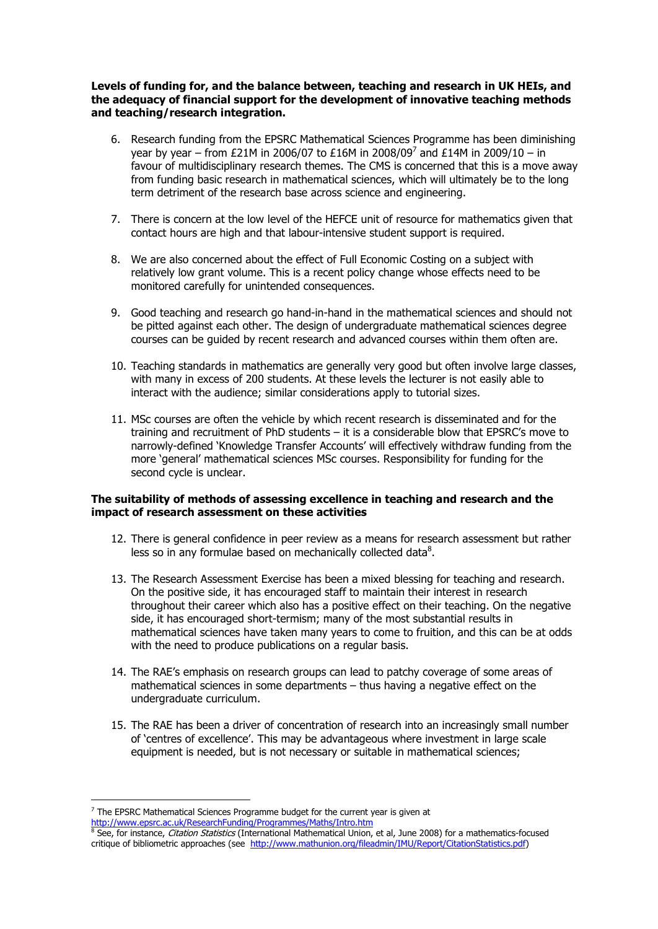#### **Levels of funding for, and the balance between, teaching and research in UK HEIs, and the adequacy of financial support for the development of innovative teaching methods and teaching/research integration.**

- 6. Research funding from the EPSRC Mathematical Sciences Programme has been diminishing  $\frac{1}{2}$  vear by year – from £21M in 2006/07 to £16M in 2008/09<sup>7</sup> and £14M in 2009/10 – in  $\widetilde{f}$ avour of multidisciplinary research themes. The CMS is concerned that this is a move away from funding basic research in mathematical sciences, which will ultimately be to the long  $\hat{\phantom{a}}$ term detriment of the research base across science and engineering.
- 7. There is concern at the low level of the HEFCE unit of resource for mathematics given that contact hours are high and that labour-intensive student support is required.
- 8. We are also concerned about the effect of Full Economic Costing on a subject with relatively low grant volume. This is a recent policy change whose effects need to be monitored carefully for unintended consequences.
- 9. Good teaching and research go hand-in-hand in the mathematical sciences and should not be pitted against each other. The design of undergraduate mathematical sciences degree courses can be guided by recent research and advanced courses within them often are.
- 10. Teaching standards in mathematics are generally very good but often involve large classes, with many in excess of 200 students. At these levels the lecturer is not easily able to interact with the audience; similar considerations apply to tutorial sizes.
- 11. MSc courses are often the vehicle by which recent research is disseminated and for the training and recruitment of PhD students  $-$  it is a considerable blow that EPSRC's move to narrowly-defined 'Knowledge Transfer Accounts' will effectively withdraw funding from the more 'general' mathematical sciences MSc courses. Responsibility for funding for the second cycle is unclear.

# **The suitability of methods of assessing excellence in teaching and research and the impact of research assessment on these activities**

- 12. There is general confidence in peer review as a means for research assessment but rather less so in any formulae based on mechanically collected data 8.
- 13. The Research Assessment Exercise has been a mixed blessing for teaching and research. On the positive side, it has encouraged staff to maintain their interest in research throughout their career which also has a positive effect on their teaching. On the negative side, it has encouraged short-termism; many of the most substantial results in mathematical sciences have taken many years to come to fruition, and this can be at odds with the need to produce publications on a regular basis.
- 14. The RAEís emphasis on research groups can lead to patchy coverage of some areas of mathematical sciences in some departments  $-$  thus having a negative effect on the undergraduate curriculum.
- 15. The RAE has been a driver of concentration of research into an increasingly small number of ëcentres of excellenceí. This may be advantageous where investment in large scale equipment is needed, but is not necessary or suitable in mathematical sciences;

 $^7$  The EPSRC Mathematical Sciences Programme budget for the current year is given at <http://www.epsrc.ac.uk/ResearchFunding/Programmes/Maths/Intro.htm>

 $8$  See, for instance, *Citation Statistics* (International Mathematical Union, et al, June 2008) for a mathematics-focused critique of bibliometric approaches (see [http://www.mathunion.org/fileadmin/IMU/Report/CitationStatistics.pdf\)](http://www.mathunion.org/fileadmin/IMU/Report/CitationStatistics.pdf)